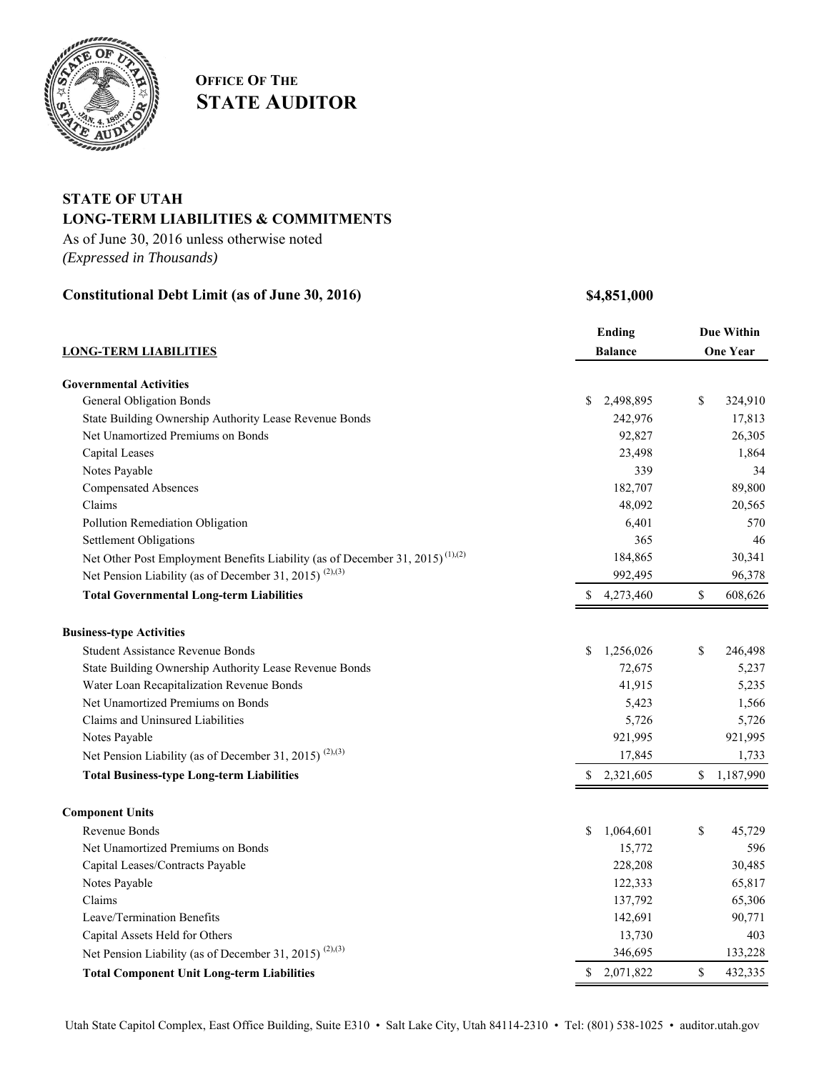

# **OFFICE OF THE STATE AUDITOR**

## **STATE OF UTAH LONG-TERM LIABILITIES & COMMITMENTS**

As of June 30, 2016 unless otherwise noted *(Expressed in Thousands)*

### **Constitutional Debt Limit (as of June 30, 2016) \$4,851,000**

|                                                                                           |                | <b>Ending</b> |                 | <b>Due Within</b> |  |
|-------------------------------------------------------------------------------------------|----------------|---------------|-----------------|-------------------|--|
| <b>LONG-TERM LIABILITIES</b>                                                              | <b>Balance</b> |               | <b>One Year</b> |                   |  |
|                                                                                           |                |               |                 |                   |  |
| <b>Governmental Activities</b>                                                            |                |               |                 |                   |  |
| <b>General Obligation Bonds</b>                                                           | \$             | 2,498,895     | \$              | 324,910           |  |
| State Building Ownership Authority Lease Revenue Bonds                                    |                | 242,976       |                 | 17,813            |  |
| Net Unamortized Premiums on Bonds                                                         |                | 92,827        |                 | 26,305            |  |
| Capital Leases                                                                            |                | 23,498        |                 | 1,864             |  |
| Notes Payable                                                                             |                | 339           |                 | 34                |  |
| <b>Compensated Absences</b>                                                               |                | 182,707       |                 | 89,800            |  |
| Claims                                                                                    |                | 48,092        |                 | 20,565            |  |
| Pollution Remediation Obligation                                                          |                | 6,401         |                 | 570               |  |
| <b>Settlement Obligations</b>                                                             |                | 365           |                 | 46                |  |
| Net Other Post Employment Benefits Liability (as of December 31, 2015) <sup>(1),(2)</sup> |                | 184,865       |                 | 30,341            |  |
| Net Pension Liability (as of December 31, 2015) <sup>(2),(3)</sup>                        |                | 992,495       |                 | 96,378            |  |
| <b>Total Governmental Long-term Liabilities</b>                                           | \$             | 4,273,460     | $\mathbb{S}$    | 608,626           |  |
| <b>Business-type Activities</b>                                                           |                |               |                 |                   |  |
| <b>Student Assistance Revenue Bonds</b>                                                   | \$             | 1,256,026     | \$              | 246,498           |  |
| State Building Ownership Authority Lease Revenue Bonds                                    |                | 72,675        |                 | 5,237             |  |
| Water Loan Recapitalization Revenue Bonds                                                 |                | 41,915        |                 | 5,235             |  |
| Net Unamortized Premiums on Bonds                                                         |                | 5,423         |                 | 1,566             |  |
| Claims and Uninsured Liabilities                                                          |                | 5,726         |                 | 5,726             |  |
| Notes Payable                                                                             |                | 921,995       |                 | 921,995           |  |
| Net Pension Liability (as of December 31, 2015) <sup>(2),(3)</sup>                        |                | 17,845        |                 | 1,733             |  |
| <b>Total Business-type Long-term Liabilities</b>                                          | \$             | 2,321,605     | $\mathbb{S}$    | 1,187,990         |  |
| <b>Component Units</b>                                                                    |                |               |                 |                   |  |
| Revenue Bonds                                                                             | \$             | 1,064,601     | \$              | 45,729            |  |
| Net Unamortized Premiums on Bonds                                                         |                | 15,772        |                 | 596               |  |
| Capital Leases/Contracts Payable                                                          |                | 228,208       |                 | 30,485            |  |
| Notes Payable                                                                             |                | 122,333       |                 | 65,817            |  |
| Claims                                                                                    |                | 137,792       |                 | 65,306            |  |
| Leave/Termination Benefits                                                                |                | 142,691       |                 | 90,771            |  |
| Capital Assets Held for Others                                                            |                | 13,730        |                 | 403               |  |
| Net Pension Liability (as of December 31, 2015) <sup>(2),(3)</sup>                        |                | 346,695       |                 | 133,228           |  |
| <b>Total Component Unit Long-term Liabilities</b>                                         | \$             | 2,071,822     | \$              | 432,335           |  |